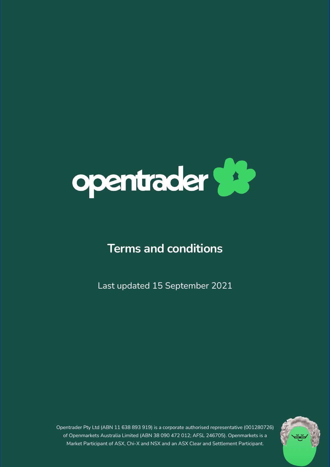

# **Terms and conditions**

Last updated 15 September 2021

Terms and conditions and conditions and conditions of the conditions of the conditions of the conditions of the conditions of the conditions of the conditions of the conditions of the conditions of the conditions of the co Opentrader Pty Ltd (ABN 11 638 893 919) is a corporate authorised representative (001280726) of Openmarkets Australia Limited (ABN 38 090 472 012; AFSL 246705). Openmarkets is a Market Participant of ASX, Chi-X and NSX and an ASX Clear and Settlement Participant.

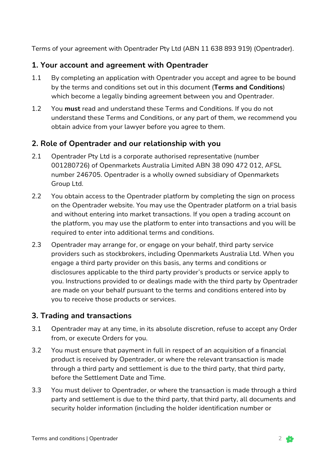Terms of your agreement with Opentrader Pty Ltd (ABN 11 638 893 919) (Opentrader).

## **1. Your account and agreement with Opentrader**

- 1.1 By completing an application with Opentrader you accept and agree to be bound by the terms and conditions set out in this document (**Terms and Conditions**) which become a legally binding agreement between you and Opentrader.
- 1.2 You **must** read and understand these Terms and Conditions. If you do not understand these Terms and Conditions, or any part of them, we recommend you obtain advice from your lawyer before you agree to them.

## **2. Role of Opentrader and our relationship with you**

- 2.1 Opentrader Pty Ltd is a corporate authorised representative (number 001280726) of Openmarkets Australia Limited ABN 38 090 472 012, AFSL number 246705. Opentrader is a wholly owned subsidiary of Openmarkets Group Ltd.
- 2.2 You obtain access to the Opentrader platform by completing the sign on process on the Opentrader website. You may use the Opentrader platform on a trial basis and without entering into market transactions. If you open a trading account on the platform, you may use the platform to enter into transactions and you will be required to enter into additional terms and conditions.
- 2.3 Opentrader may arrange for, or engage on your behalf, third party service providers such as stockbrokers, including Openmarkets Australia Ltd. When you engage a third party provider on this basis, any terms and conditions or disclosures applicable to the third party provider's products or service apply to you. Instructions provided to or dealings made with the third party by Opentrader are made on your behalf pursuant to the terms and conditions entered into by you to receive those products or services.

#### **3. Trading and transactions**

- 3.1 Opentrader may at any time, in its absolute discretion, refuse to accept any Order from, or execute Orders for you.
- 3.2 You must ensure that payment in full in respect of an acquisition of a financial product is received by Opentrader, or where the relevant transaction is made through a third party and settlement is due to the third party, that third party, before the Settlement Date and Time.
- 3.3 You must deliver to Opentrader, or where the transaction is made through a third party and settlement is due to the third party, that third party, all documents and security holder information (including the holder identification number or

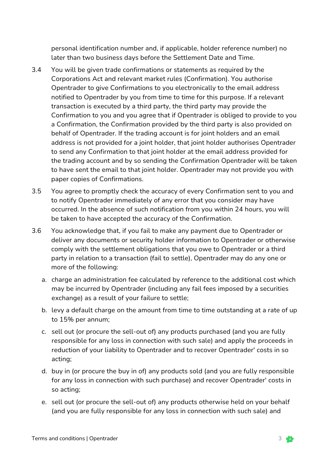personal identification number and, if applicable, holder reference number) no later than two business days before the Settlement Date and Time.

- 3.4 You will be given trade confirmations or statements as required by the Corporations Act and relevant market rules (Confirmation). You authorise Opentrader to give Confirmations to you electronically to the email address notified to Opentrader by you from time to time for this purpose. If a relevant transaction is executed by a third party, the third party may provide the Confirmation to you and you agree that if Opentrader is obliged to provide to you a Confirmation, the Confirmation provided by the third party is also provided on behalf of Opentrader. If the trading account is for joint holders and an email address is not provided for a joint holder, that joint holder authorises Opentrader to send any Confirmation to that joint holder at the email address provided for the trading account and by so sending the Confirmation Opentrader will be taken to have sent the email to that joint holder. Opentrader may not provide you with paper copies of Confirmations.
- 3.5 You agree to promptly check the accuracy of every Confirmation sent to you and to notify Opentrader immediately of any error that you consider may have occurred. In the absence of such notification from you within 24 hours, you will be taken to have accepted the accuracy of the Confirmation.
- 3.6 You acknowledge that, if you fail to make any payment due to Opentrader or deliver any documents or security holder information to Opentrader or otherwise comply with the settlement obligations that you owe to Opentrader or a third party in relation to a transaction (fail to settle), Opentrader may do any one or more of the following:
	- a. charge an administration fee calculated by reference to the additional cost which may be incurred by Opentrader (including any fail fees imposed by a securities exchange) as a result of your failure to settle;
	- b. levy a default charge on the amount from time to time outstanding at a rate of up to 15% per annum;
	- c. sell out (or procure the sell-out of) any products purchased (and you are fully responsible for any loss in connection with such sale) and apply the proceeds in reduction of your liability to Opentrader and to recover Opentrader' costs in so acting;
	- d. buy in (or procure the buy in of) any products sold (and you are fully responsible for any loss in connection with such purchase) and recover Opentrader' costs in so acting;
	- e. sell out (or procure the sell-out of) any products otherwise held on your behalf (and you are fully responsible for any loss in connection with such sale) and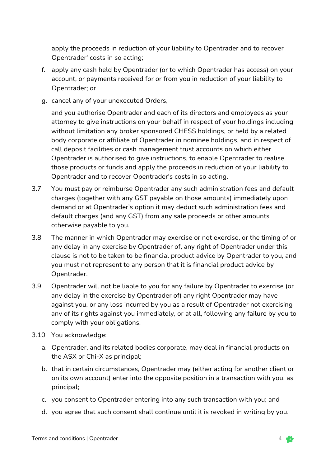apply the proceeds in reduction of your liability to Opentrader and to recover Opentrader' costs in so acting;

- f. apply any cash held by Opentrader (or to which Opentrader has access) on your account, or payments received for or from you in reduction of your liability to Opentrader; or
- g. cancel any of your unexecuted Orders,

and you authorise Opentrader and each of its directors and employees as your attorney to give instructions on your behalf in respect of your holdings including without limitation any broker sponsored CHESS holdings, or held by a related body corporate or affiliate of Opentrader in nominee holdings, and in respect of call deposit facilities or cash management trust accounts on which either Opentrader is authorised to give instructions, to enable Opentrader to realise those products or funds and apply the proceeds in reduction of your liability to Opentrader and to recover Opentrader's costs in so acting.

- 3.7 You must pay or reimburse Opentrader any such administration fees and default charges (together with any GST payable on those amounts) immediately upon demand or at Opentrader's option it may deduct such administration fees and default charges (and any GST) from any sale proceeds or other amounts otherwise payable to you.
- 3.8 The manner in which Opentrader may exercise or not exercise, or the timing of or any delay in any exercise by Opentrader of, any right of Opentrader under this clause is not to be taken to be financial product advice by Opentrader to you, and you must not represent to any person that it is financial product advice by Opentrader.
- 3.9 Opentrader will not be liable to you for any failure by Opentrader to exercise (or any delay in the exercise by Opentrader of) any right Opentrader may have against you, or any loss incurred by you as a result of Opentrader not exercising any of its rights against you immediately, or at all, following any failure by you to comply with your obligations.
- 3.10 You acknowledge:
	- a. Opentrader, and its related bodies corporate, may deal in financial products on the ASX or Chi-X as principal;
	- b. that in certain circumstances, Opentrader may (either acting for another client or on its own account) enter into the opposite position in a transaction with you, as principal;
	- c. you consent to Opentrader entering into any such transaction with you; and
	- d. you agree that such consent shall continue until it is revoked in writing by you.

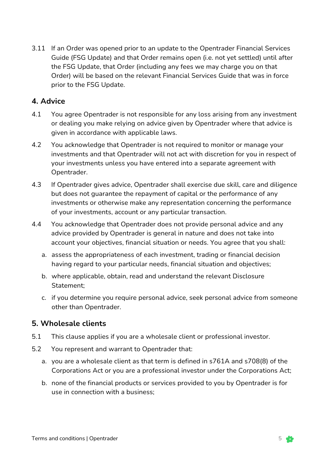3.11 If an Order was opened prior to an update to the Opentrader Financial Services Guide (FSG Update) and that Order remains open (i.e. not yet settled) until after the FSG Update, that Order (including any fees we may charge you on that Order) will be based on the relevant Financial Services Guide that was in force prior to the FSG Update.

#### **4. Advice**

- 4.1 You agree Opentrader is not responsible for any loss arising from any investment or dealing you make relying on advice given by Opentrader where that advice is given in accordance with applicable laws.
- 4.2 You acknowledge that Opentrader is not required to monitor or manage your investments and that Opentrader will not act with discretion for you in respect of your investments unless you have entered into a separate agreement with Opentrader.
- 4.3 If Opentrader gives advice, Opentrader shall exercise due skill, care and diligence but does not guarantee the repayment of capital or the performance of any investments or otherwise make any representation concerning the performance of your investments, account or any particular transaction.
- 4.4 You acknowledge that Opentrader does not provide personal advice and any advice provided by Opentrader is general in nature and does not take into account your objectives, financial situation or needs. You agree that you shall:
	- a. assess the appropriateness of each investment, trading or financial decision having regard to your particular needs, financial situation and objectives;
	- b. where applicable, obtain, read and understand the relevant Disclosure Statement;
	- c. if you determine you require personal advice, seek personal advice from someone other than Opentrader.

#### **5. Wholesale clients**

- 5.1 This clause applies if you are a wholesale client or professional investor.
- 5.2 You represent and warrant to Opentrader that:
	- a. you are a wholesale client as that term is defined in s761A and s708(8) of the Corporations Act or you are a professional investor under the Corporations Act;
	- b. none of the financial products or services provided to you by Opentrader is for use in connection with a business;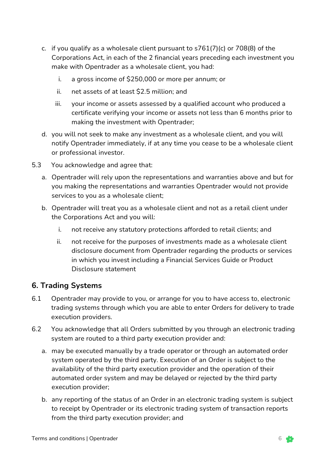- c. if you qualify as a wholesale client pursuant to s761(7)(c) or 708(8) of the Corporations Act, in each of the 2 financial years preceding each investment you make with Opentrader as a wholesale client, you had:
	- i. a gross income of \$250,000 or more per annum; or
	- ii. net assets of at least \$2.5 million; and
	- iii. your income or assets assessed by a qualified account who produced a certificate verifying your income or assets not less than 6 months prior to making the investment with Opentrader;
- d. you will not seek to make any investment as a wholesale client, and you will notify Opentrader immediately, if at any time you cease to be a wholesale client or professional investor.
- 5.3 You acknowledge and agree that:
	- a. Opentrader will rely upon the representations and warranties above and but for you making the representations and warranties Opentrader would not provide services to you as a wholesale client;
	- b. Opentrader will treat you as a wholesale client and not as a retail client under the Corporations Act and you will:
		- i. not receive any statutory protections afforded to retail clients; and
		- ii. not receive for the purposes of investments made as a wholesale client disclosure document from Opentrader regarding the products or services in which you invest including a Financial Services Guide or Product Disclosure statement

#### **6. Trading Systems**

- 6.1 Opentrader may provide to you, or arrange for you to have access to, electronic trading systems through which you are able to enter Orders for delivery to trade execution providers.
- 6.2 You acknowledge that all Orders submitted by you through an electronic trading system are routed to a third party execution provider and:
	- a. may be executed manually by a trade operator or through an automated order system operated by the third party. Execution of an Order is subject to the availability of the third party execution provider and the operation of their automated order system and may be delayed or rejected by the third party execution provider;
	- b. any reporting of the status of an Order in an electronic trading system is subject to receipt by Opentrader or its electronic trading system of transaction reports from the third party execution provider; and

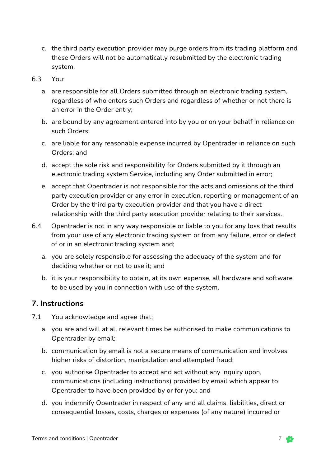c. the third party execution provider may purge orders from its trading platform and these Orders will not be automatically resubmitted by the electronic trading system.

#### 6.3 You:

- a. are responsible for all Orders submitted through an electronic trading system, regardless of who enters such Orders and regardless of whether or not there is an error in the Order entry;
- b. are bound by any agreement entered into by you or on your behalf in reliance on such Orders;
- c. are liable for any reasonable expense incurred by Opentrader in reliance on such Orders; and
- d. accept the sole risk and responsibility for Orders submitted by it through an electronic trading system Service, including any Order submitted in error;
- e. accept that Opentrader is not responsible for the acts and omissions of the third party execution provider or any error in execution, reporting or management of an Order by the third party execution provider and that you have a direct relationship with the third party execution provider relating to their services.
- 6.4 Opentrader is not in any way responsible or liable to you for any loss that results from your use of any electronic trading system or from any failure, error or defect of or in an electronic trading system and;
	- a. you are solely responsible for assessing the adequacy of the system and for deciding whether or not to use it; and
	- b. it is your responsibility to obtain, at its own expense, all hardware and software to be used by you in connection with use of the system.

#### **7. Instructions**

- 7.1 You acknowledge and agree that;
	- a. you are and will at all relevant times be authorised to make communications to Opentrader by email;
	- b. communication by email is not a secure means of communication and involves higher risks of distortion, manipulation and attempted fraud;
	- c. you authorise Opentrader to accept and act without any inquiry upon, communications (including instructions) provided by email which appear to Opentrader to have been provided by or for you; and
	- d. you indemnify Opentrader in respect of any and all claims, liabilities, direct or consequential losses, costs, charges or expenses (of any nature) incurred or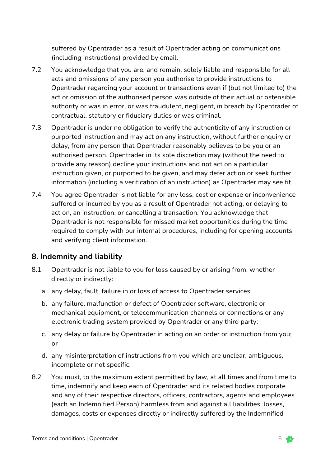suffered by Opentrader as a result of Opentrader acting on communications (including instructions) provided by email.

- 7.2 You acknowledge that you are, and remain, solely liable and responsible for all acts and omissions of any person you authorise to provide instructions to Opentrader regarding your account or transactions even if (but not limited to) the act or omission of the authorised person was outside of their actual or ostensible authority or was in error, or was fraudulent, negligent, in breach by Opentrader of contractual, statutory or fiduciary duties or was criminal.
- 7.3 Opentrader is under no obligation to verify the authenticity of any instruction or purported instruction and may act on any instruction, without further enquiry or delay, from any person that Opentrader reasonably believes to be you or an authorised person. Opentrader in its sole discretion may (without the need to provide any reason) decline your instructions and not act on a particular instruction given, or purported to be given, and may defer action or seek further information (including a verification of an instruction) as Opentrader may see fit.
- 7.4 You agree Opentrader is not liable for any loss, cost or expense or inconvenience suffered or incurred by you as a result of Opentrader not acting, or delaying to act on, an instruction, or cancelling a transaction. You acknowledge that Opentrader is not responsible for missed market opportunities during the time required to comply with our internal procedures, including for opening accounts and verifying client information.

#### **8. Indemnity and liability**

- 8.1 Opentrader is not liable to you for loss caused by or arising from, whether directly or indirectly:
	- a. any delay, fault, failure in or loss of access to Opentrader services;
	- b. any failure, malfunction or defect of Opentrader software, electronic or mechanical equipment, or telecommunication channels or connections or any electronic trading system provided by Opentrader or any third party;
	- c. any delay or failure by Opentrader in acting on an order or instruction from you; or
	- d. any misinterpretation of instructions from you which are unclear, ambiguous, incomplete or not specific.
- 8.2 You must, to the maximum extent permitted by law, at all times and from time to time, indemnify and keep each of Opentrader and its related bodies corporate and any of their respective directors, officers, contractors, agents and employees (each an Indemnified Person) harmless from and against all liabilities, losses, damages, costs or expenses directly or indirectly suffered by the Indemnified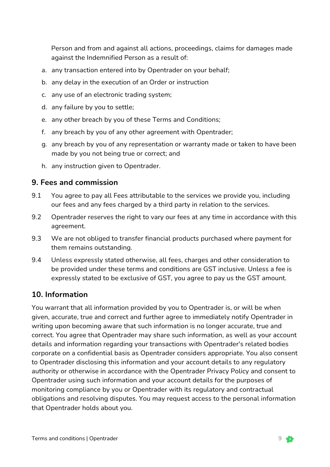Person and from and against all actions, proceedings, claims for damages made against the Indemnified Person as a result of:

- a. any transaction entered into by Opentrader on your behalf;
- b. any delay in the execution of an Order or instruction
- c. any use of an electronic trading system;
- d. any failure by you to settle;
- e. any other breach by you of these Terms and Conditions;
- f. any breach by you of any other agreement with Opentrader;
- g. any breach by you of any representation or warranty made or taken to have been made by you not being true or correct; and
- h. any instruction given to Opentrader.

#### **9. Fees and commission**

- 9.1 You agree to pay all Fees attributable to the services we provide you, including our fees and any fees charged by a third party in relation to the services.
- 9.2 Opentrader reserves the right to vary our fees at any time in accordance with this agreement.
- 9.3 We are not obliged to transfer financial products purchased where payment for them remains outstanding.
- 9.4 Unless expressly stated otherwise, all fees, charges and other consideration to be provided under these terms and conditions are GST inclusive. Unless a fee is expressly stated to be exclusive of GST, you agree to pay us the GST amount.

#### **10. Information**

You warrant that all information provided by you to Opentrader is, or will be when given, accurate, true and correct and further agree to immediately notify Opentrader in writing upon becoming aware that such information is no longer accurate, true and correct. You agree that Opentrader may share such information, as well as your account details and information regarding your transactions with Opentrader's related bodies corporate on a confidential basis as Opentrader considers appropriate. You also consent to Opentrader disclosing this information and your account details to any regulatory authority or otherwise in accordance with the Opentrader Privacy Policy and consent to Opentrader using such information and your account details for the purposes of monitoring compliance by you or Opentrader with its regulatory and contractual obligations and resolving disputes. You may request access to the personal information that Opentrader holds about you.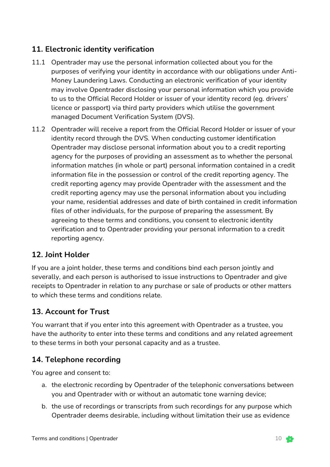## **11. Electronic identity verification**

- 11.1 Opentrader may use the personal information collected about you for the purposes of verifying your identity in accordance with our obligations under Anti-Money Laundering Laws. Conducting an electronic verification of your identity may involve Opentrader disclosing your personal information which you provide to us to the Official Record Holder or issuer of your identity record (eg. drivers' licence or passport) via third party providers which utilise the government managed Document Verification System (DVS).
- 11.2 Opentrader will receive a report from the Official Record Holder or issuer of your identity record through the DVS. When conducting customer identification Opentrader may disclose personal information about you to a credit reporting agency for the purposes of providing an assessment as to whether the personal information matches (in whole or part) personal information contained in a credit information file in the possession or control of the credit reporting agency. The credit reporting agency may provide Opentrader with the assessment and the credit reporting agency may use the personal information about you including your name, residential addresses and date of birth contained in credit information files of other individuals, for the purpose of preparing the assessment. By agreeing to these terms and conditions, you consent to electronic identity verification and to Opentrader providing your personal information to a credit reporting agency.

## **12. Joint Holder**

If you are a joint holder, these terms and conditions bind each person jointly and severally, and each person is authorised to issue instructions to Opentrader and give receipts to Opentrader in relation to any purchase or sale of products or other matters to which these terms and conditions relate.

## **13. Account for Trust**

You warrant that if you enter into this agreement with Opentrader as a trustee, you have the authority to enter into these terms and conditions and any related agreement to these terms in both your personal capacity and as a trustee.

# **14. Telephone recording**

You agree and consent to:

- a. the electronic recording by Opentrader of the telephonic conversations between you and Opentrader with or without an automatic tone warning device;
- b. the use of recordings or transcripts from such recordings for any purpose which Opentrader deems desirable, including without limitation their use as evidence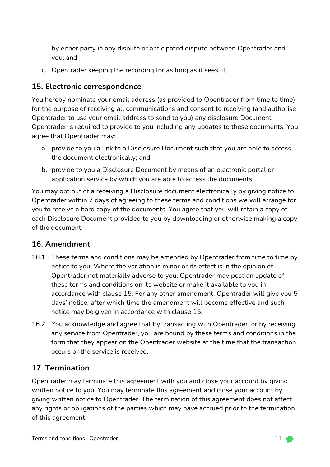by either party in any dispute or anticipated dispute between Opentrader and you; and

c. Opentrader keeping the recording for as long as it sees fit.

## **15. Electronic correspondence**

You hereby nominate your email address (as provided to Opentrader from time to time) for the purpose of receiving all communications and consent to receiving (and authorise Opentrader to use your email address to send to you) any disclosure Document Opentrader is required to provide to you including any updates to these documents. You agree that Opentrader may:

- a. provide to you a link to a Disclosure Document such that you are able to access the document electronically; and
- b. provide to you a Disclosure Document by means of an electronic portal or application service by which you are able to access the documents.

You may opt out of a receiving a Disclosure document electronically by giving notice to Opentrader within 7 days of agreeing to these terms and conditions we will arrange for you to receive a hard copy of the documents. You agree that you will retain a copy of each Disclosure Document provided to you by downloading or otherwise making a copy of the document.

## **16. Amendment**

- 16.1 These terms and conditions may be amended by Opentrader from time to time by notice to you. Where the variation is minor or its effect is in the opinion of Opentrader not materially adverse to you, Opentrader may post an update of these terms and conditions on its website or make it available to you in accordance with clause 15. For any other amendment, Opentrader will give you 5 days' notice, after which time the amendment will become effective and such notice may be given in accordance with clause 15.
- 16.2 You acknowledge and agree that by transacting with Opentrader, or by receiving any service from Opentrader, you are bound by these terms and conditions in the form that they appear on the Opentrader website at the time that the transaction occurs or the service is received.

## **17. Termination**

Opentrader may terminate this agreement with you and close your account by giving written notice to you. You may terminate this agreement and close your account by giving written notice to Opentrader. The termination of this agreement does not affect any rights or obligations of the parties which may have accrued prior to the termination of this agreement.